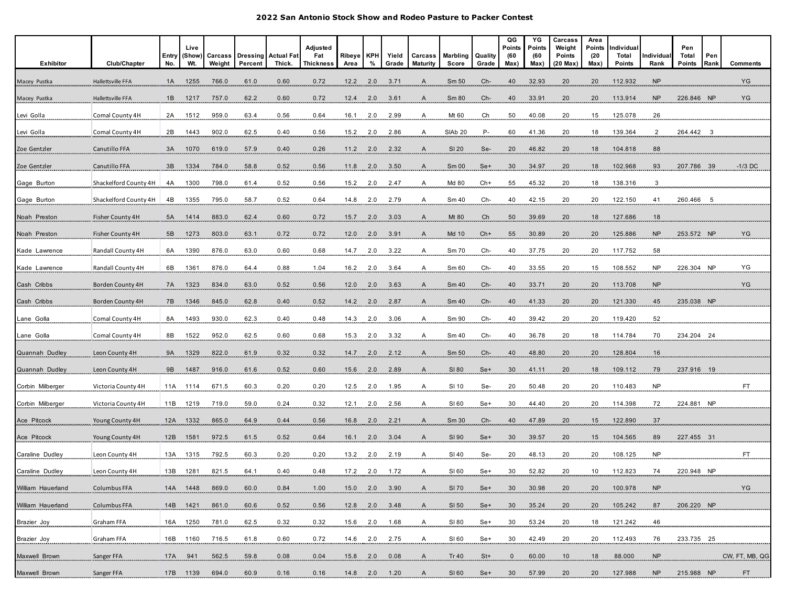| Exhibitor         | Club/Chapter          | Entry<br>No. | Live<br>(Show)<br>Wt | Carcass<br>Weight | <b>Dressing</b><br>Percent | <b>Actual Fat</b><br>Thick. | Adjusted<br>Fat<br>Thickness | Ribeye<br>Area | <b>KPH</b><br>% | Yield<br>Grade  | Carcass<br>Maturity | Marbling<br>Score | Quality<br>Grade | QG<br>Points<br>(60<br>Max) | YG<br><b>Points</b><br>(60<br>Max) | Carcass<br>Weight<br>Points<br>$(20 \text{ Max})$ | Area<br>Points<br>(20)<br>Max) | Individual<br>Total<br>Points | ndividua<br>Rank | Pen<br>Total<br>Points | Pen<br>Rank | <b>Comments</b>   |
|-------------------|-----------------------|--------------|----------------------|-------------------|----------------------------|-----------------------------|------------------------------|----------------|-----------------|-----------------|---------------------|-------------------|------------------|-----------------------------|------------------------------------|---------------------------------------------------|--------------------------------|-------------------------------|------------------|------------------------|-------------|-------------------|
| Macey Pustka      | Hallettsville FFA     | 1A           | 1255                 | 766.0             | 61.0                       | 0.60                        | 0.72                         | 12.2           | 2.0             | 3.71            | A                   | Sm 50             | Ch-              | 40                          | 32.93                              | 20                                                | 20                             | 112.932                       | <b>NP</b>        |                        |             | YG                |
| Macey Pustka      | Hallettsville FFA     | 1B           | 1217                 | 757.0             | 62.2                       | 0.60                        | 0.72                         | 12.4           | 2.0             | 3.61            | A                   | Sm 80             | Ch-              | 40                          | 33.91                              | 20                                                | 20                             | 113.914                       | <b>NP</b>        | 226.846 NF             |             | YG                |
| Levi Golla        | Comal County 4H       | 2A           | 1512                 | 959.0             | 63.4                       | 0.56                        | 0.64                         | 16.1           | 2.0             | 2.99            | A                   | Mt 60             | Ch               | 50                          | 40.08                              | $^{20}$                                           | 15                             | 125.078                       | 26               |                        |             |                   |
| Levi Golla        | Comal County 4H       | 2B           | 1443                 | 902.0             | 62.5                       | 0.40                        | 0.56                         | 15.2           | 2.0             | 2.86            | A                   | <b>SIAb 20</b>    | Р-               | 60                          | 41.36                              | 20                                                | 18                             | 139.364                       | $\overline{2}$   | 264.442 3              |             |                   |
| Zoe Gentzler      | Canutillo FFA         | 3A           | 1070                 | 619.0             | 57.9                       | 0.40                        | 0.26                         | 11.2           | 2.0             | 2.32            | $\mathsf{A}$        | SI 20             | Se-              | 20                          | 46.82                              | 20                                                | 18                             | 104.818                       | 88               |                        |             |                   |
| Zoe Gentzler      | Canutillo FFA         | 3B           | 1334                 | 784.0             | 58.8                       | 0.52                        | 0.56                         | 11.8           | 2.0             | 3.50            | $\mathsf{A}$        | Sm <sub>00</sub>  | Se+              | 30                          | 34.97                              | 20                                                | 18                             | 102.968                       | 93               | 207.786 39             |             | $-1/3$ DC         |
| Gage Burton       | Shackelford County 4H | 4A           | 1300                 | 798.0             | 61.4                       | 0.52                        | 0.56                         | 15.2           | 2.0             | 2.47            | A                   | Md 80             | Ch+              | 55                          | 45.32                              | 20                                                | 18                             | 138.316                       | 3                |                        |             |                   |
| Gage Burton       | Shackelford County 4H | 4B           | 1355                 | 795.0             | 58.7                       | 0.52                        | 0.64                         | 14.8           | 2.0             | 2.79            | A                   | Sm 40             | Ch-              | 40                          | 42.15                              | 20                                                | 20                             | 122.150                       | 41               | 260.466 5              |             |                   |
| Noah Preston      | Fisher County 4H      | 5A           | 1414                 | 883.0             | 62.4                       | 0.60                        | 0.72                         | 15.7           | 2.0             | 3.03            | $\overline{A}$      | Mt 80             | Ch               | 50                          | 39.69                              | $\frac{20}{2}$                                    | 18                             | 127.686                       | $\frac{18}{1}$   |                        |             |                   |
| Noah Preston      | Fisher County 4H      | 5B           | 1273                 | 803.0             | 63.1                       | 0.72                        | 0.72                         | 12.0           | 2.0             | 3.91            | A                   | Md 10             | $Ch+$            | 55                          | 30.89                              | 20                                                | 20                             | 125.886                       | <b>NP</b>        | 253.572 NP             |             | YG                |
| Kade Lawrence     | Randall County 4H     | 6A           | 1390                 | 876.0             | 63.0                       | 0.60                        | 0.68                         | 14.7           | 2.0             | 3.22            | A                   | Sm 70             | Ch-              | 40                          | 37.75                              | 20                                                | 20                             | 117.752                       | 58               |                        |             |                   |
| Kade Lawrence     | Randall County 4H     | 6B           | 1361                 | 876.0             | 64.4                       | 0.88                        | 1.04                         | 16.2           | 2.0             | 3.64            | $\mathsf{A}$        | Sm 60             | $Ch-$            | 40                          | 33.55                              | 20                                                | 15                             | 108.552                       | <b>NP</b>        | 226.304 NP             |             | YG                |
| Cash Cribbs       | Borden County 4H      | 7A           | 1323                 | 834.0             | 63.0                       | 0.52                        | 0.56                         | 12.0           | 2.0             | 3.63            | A                   | Sm 40             | Ch-              | 40                          | 33.71                              | 20                                                | 20                             | 113.708                       | <b>NP</b>        |                        |             | YG                |
| Cash Cribbs       | Borden County 4H      | 7B           | 1346                 | 845.0             | 62.8                       | 0.40                        | 0.52                         | 14.2           | 2.0             | 2.87            | A                   | Sm 40             | Ch-              | 40                          | 41.33                              | 20                                                | 20                             | 121.330                       | 45               | 235.038 NP             |             |                   |
| Lane Golla        | Comal County 4H       | 8A           | 1493                 | 930.0             | 62.3                       | 0.40                        | 0.48                         | 14.3           | 2.0             | 3.06            | Ą                   | $\rm Sm\,90$      | Ch-              | 40 <sub>1</sub>             | 39.42                              | $^{20}$                                           | 20                             | 119.420                       | 52               |                        |             |                   |
| ane Golla.        | Comal County 4H       | 8B           | 1522                 | 952.0             | 62.5                       | 0.60                        | 0.68                         | 15.3           | 2.0             | 3.32            | A                   | Sm 40             | Ch-              | 40                          | 36.78                              | 20                                                | 18                             | 114.784                       | 70               | 234.204 24             |             |                   |
| Quannah Dudley    | Leon County 4H        | 9A           | 1329                 | 822.0             | 61.9                       | 0.32                        | 0.32                         | 14.7           | 2.0             | 2.12            | A                   | Sm 50             | Ch-              | 40                          | 48.80                              | $\overline{20}$                                   | 20                             | 128.804                       | 16               |                        |             |                   |
| Quannah Dudley    | Leon County 4H        | 9B           | 1487                 | 916.0             | 61.6                       | 0.52                        | 0.60                         | 15.6           | 2.0             | 2.89            | $\mathsf{A}$        | SI 80             | Set              | 30                          | 41.11                              | 20                                                | 18                             | 109.112                       | 79               | 237.916 19             |             |                   |
| Corbin Milberger  | Victoria County 4H    | 11A          | 1114                 | 671.5             | 60.3                       | 0.20                        | 0.20                         | 12.5           | 2.0             | 1.95            | A                   | SI 10             | Se-              | 20                          | 50.48                              | 20                                                | 20                             | 110.483                       | <b>NP</b>        |                        |             | FT                |
| Corbin Milberger  | Victoria County 4H    | 11B          | 1219                 | 719.0             | 59.0                       | 0.24                        | 0.32                         | 12.1           | 2.0             | 2.56            | A                   | SI 60             | Se+              | 30                          | 44.40                              | 20                                                | 20                             | 114.398                       | 72               | 224.881 NP             |             |                   |
| Ace Pitcock       | Young County 4H       |              | 12A 1332             | 865.0             | 64.9                       | 0.44                        | 0.56                         | 16.8           | 2.0             | 2.21            | A                   | Sm 30             | Ch-              | 40                          | 47.89                              | 20                                                | $\frac{15}{1}$                 | 122.890                       | 37               |                        |             |                   |
| Ace Pitcock       | Young County 4H       | 12B          | 1581                 | 972.5             | 61.5                       | 0.52                        | 0.64                         | 16.1           | 2.0             | 3.04            | A                   | SI 90             | Se+              | 30                          | 39.57                              | 20                                                | 15                             | 104.565                       | 89               | 227.455 31             |             |                   |
| Caraline Dudley   | Leon County 4H        | 13A          | 1315                 | 792.5             | 60.3                       | 0.20                        | 0.20                         | 13.2           | 2.0             | 2.19            |                     | SI 40             | Se-              | 20                          | 48.13                              | 20                                                | 20                             | 108.125                       |                  |                        |             |                   |
| Caraline Dudley   | Leon County 4H        | 13B          | 1281                 | 821.5             | 64.1                       | 0.40                        | 0.48                         | 17.2           | 2.0             | 1.72            | A                   | SI 60             | Se+              | 30                          | 52.82                              | 20                                                | 10                             | 112.823                       | 74               | 220.948 NP             |             |                   |
| William Hauerland | Columbus FFA          |              | 14A 1448 869.0       |                   | 60.0                       | 0.84                        | 1.00                         |                |                 |                 |                     |                   |                  |                             |                                    |                                                   |                                | 20 100.978 NP                 |                  |                        |             | YG                |
| William Hauerland | Columbus FFA          |              | 14B 1421 861.0       |                   | 60.6                       | 0.52                        | 0.56                         |                |                 | 12.8 2.0 3.48   | A                   | SI 50             | Se+              |                             | 30 35.24                           | 20                                                | 20                             | 105.242                       | 87               | 206.220 NP             |             |                   |
| Brazier Joy       | Graham FFA            |              | 16A 1250 781.0       |                   | 62.5                       | 0.32                        | 0.32                         |                |                 | $15.6$ 2.0 1.68 | .A.                 | SI 80             | Se+              | 30 <sub>2</sub>             | 53.24                              | $^{20}$                                           | $\frac{18}{1}$                 | <u>121.242</u>                | 46               |                        |             |                   |
| Brazier Joy       | Graham FFA            |              | 16B 1160 716.5       |                   | 61.8                       | 0.60                        | 0.72                         |                |                 | $14.6$ 2.0 2.75 | A                   | SI 60             | $Se+$            |                             | $30 \qquad 42.49$                  | 20                                                |                                | 20 112.493                    | 76               | 233.735 25             |             |                   |
| Maxwell Brown     | Sanger FFA            |              | 17A 941              | 562.5             | 59.8                       | 0.08                        | 0.04                         |                |                 |                 | 15.8 2.0 0.08 A     | Tr 40             | $St+$            | $\frac{0}{1}$               | 60.00                              |                                                   |                                |                               |                  |                        |             | NP CW, FT, MB, QG |
| Maxwell Brown     | Sanger FFA            |              | 17B 1139             | 694.0             | 60.9                       | 0.16                        | 0.16                         |                |                 | 14.8 2.0 1.20   | A                   | SI 60             | Se+              | 30 <sup>°</sup>             | 57.99                              | 20                                                | 20                             | 127.988                       | <b>NP</b>        | 215.988 NP             |             | FT.               |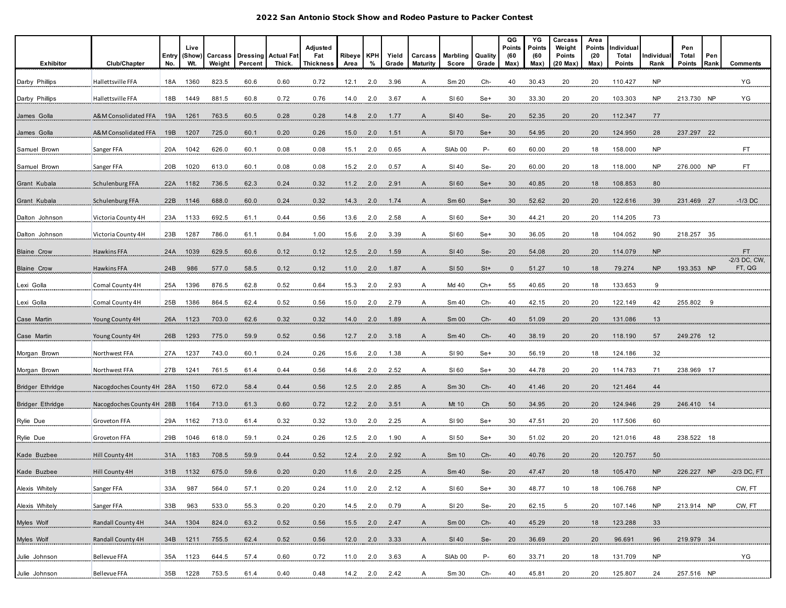| Exhibitor          | Club/Chapter              | Entry<br>No. | Live<br>(Show)<br>Wt. | Carcass<br>Weight | <b>Dressing Actual Fat</b><br>Percent | Thick. | Adjusted<br>Fat<br><b>Thickness</b> | Ribeye  <br>Area | <b>KPH</b><br>% | Yield<br>Grade | Carcass<br><b>Maturity</b> | Marbling<br>Score  | Quality<br>Grade | QG<br>Points<br>(60<br>Max) | YG<br>Points<br>(60<br>Max) | Carcass<br>Weight<br>Points<br>$(20$ Max) | Area<br>Points<br>(20)<br>Max) | Individual<br>Total<br>Points | ndividual<br>Rank | Pen<br>Total<br>Points | Pen<br>Rankl | <b>Comments</b>        |
|--------------------|---------------------------|--------------|-----------------------|-------------------|---------------------------------------|--------|-------------------------------------|------------------|-----------------|----------------|----------------------------|--------------------|------------------|-----------------------------|-----------------------------|-------------------------------------------|--------------------------------|-------------------------------|-------------------|------------------------|--------------|------------------------|
| Darby Phillips     | Hallettsville FFA         | 18A          | 1360                  | 823.5             | 60.6                                  | 0.60   | 0.72                                | 12.1             | 2.0             | 3.96           | A                          | Sm 20              | Ch-              | 40                          | 30.43                       | 20                                        | 20                             | 110.427                       | <b>NP</b>         |                        |              | YG                     |
| Darby Phillips     | Hallettsville FFA         | 18B          | 1449                  | 881.5             | 60.8                                  | 0.72   | 0.76                                | 14.0             | 2.0             | 3.67           | A                          | SI 60              | Se+              | 30                          | 33.30                       | 20                                        | 20                             | 103.303                       | <b>NP</b>         | 213.730 NP             |              | YG                     |
| James Golla        | A&M Consolidated FFA      | 19A          | 1261                  | 763.5             | 60.5                                  | 0.28   | 0.28                                | 14.8             | 2.0             | 1.77           | A                          | SI 40              | Se-              | 20                          | 52.35                       | 20                                        | 20                             | 112.347                       | 77                |                        |              |                        |
| James Golla        | A&M Consolidated FFA      | 19B          | 1207                  | 725.0             | 60.1                                  | 0.20   | 0.26                                | 15.0             | 2.0             | 1.51           | $\mathsf{A}$               | SI 70              | Se+              | 30                          | 54.95                       | 20                                        | 20                             | 124.950                       | 28                | 237.297 22             |              |                        |
| Samuel Brown       | Sanger FFA                | 20A          | 1042                  | 626.0             | 60.1                                  | 0.08   | 0.08                                | 15.1             | 2.0             | 0.65           | A                          | SIAb <sub>00</sub> | $P-$             | 60                          | 60.00                       | 20                                        | 18                             | 158.000                       | NP                |                        |              | FT.                    |
| Samuel Brown       | Sanger FFA                | 20B          | 1020                  | 613.0             | 60.1                                  | 0.08   | 0.08                                | 15.2             | 2.0             | 0.57           | A                          | SI 40              | Se-              | 20                          | 60.00                       | 20                                        | 18                             | 118.000                       | <b>NP</b>         | 276.000 NP             |              | FT.                    |
| Grant Kubala       | Schulenburg FFA           | 22A          | 1182                  | 736.5             | 62.3                                  | 0.24   | 0.32                                | 11.2             | 2.0             | 2.91           | $\mathsf{A}$               | SI 60              | Se+              | 30                          | 40.85                       | 20                                        | 18                             | 108.853                       | 80                |                        |              |                        |
| Grant Kubala       | Schulenburg FFA           | 22B          | 1146                  | 688.0             | 60.0                                  | 0.24   | 0.32                                | 14.3             |                 | $2.0$ 1.74     | $\mathsf{A}$               | Sm60               | Se+              | 30                          | 52.62                       | 20                                        | 20                             | 122.616                       | 39                | 231.469 27             |              | $-1/3$ DC              |
| Dalton Johnson     | Victoria County 4H        | 23A          | 1133                  | 692.5             | 61.1                                  | 0.44   | 0.56                                | 13.6             |                 | 2.0 2.58       | $\overline{A}$             | SI60               | $Se+$            | $\frac{30}{2}$              | 44.21                       | $^{20}$                                   | $^{20}$                        | 114.205                       | 73                |                        |              |                        |
| Dalton Johnson     | Victoria County 4H        | 23B          | 1287                  | 786.0             | 61.1                                  | 0.84   | 1.00                                | 15.6             | 2.0             | 3.39           |                            | SI 60              | $Se+$            | 30 <sub>2</sub>             | 36.05                       | $\frac{20}{1}$                            | 18                             | 104.052                       | 90                | 218.257 35             |              |                        |
| <b>Blaine Crow</b> | <b>Hawkins FFA</b>        | 24A          | 1039                  | 629.5             | 60.6                                  | 0.12   | 0.12                                | 12.5             | 2.0             | 1.59           | $\mathsf{A}$               | SI 40              | Se-              | 20                          | 54.08                       | 20                                        | 20                             | 114.079                       | <b>NP</b>         |                        |              | FT.                    |
| <b>Blaine Crow</b> | Hawkins FFA               | 24B          | 986                   | 577.0             | 58.5                                  | 0.12   | 0.12                                | 11.0             | 2.0             | 1.87           | A                          | SI 50              | $St+$            | $\mathbf 0$                 | 51.27                       | 10                                        | 18                             | 79.274                        | <b>NP</b>         | 193.353 NP             |              | -2/3 DC, CW,<br>FT, QG |
| Lexi Golla         | Comal County 4H           | 25A          | 1396                  | 876.5             | 62.8                                  | 0.52   | 0.64                                | 15.3             | 2.0             | 2.93           | A                          | Md 40              | $Ch+$            | 55                          | 40.65                       | 20                                        | 18                             | 133.653                       | $\overline{9}$    |                        |              |                        |
| Lexi Golla         | Comal County 4H           | 25B          | 1386                  | 864.5             | 62.4                                  | 0.52   | 0.56                                | 15.0             | 2.0             | 2.79           | A                          | Sm 40              | Ch-              | 40                          | 42.15                       | 20                                        | 20                             | 122.149                       | 42                | 255.802 9              |              |                        |
| Case Martin        | Young County 4H           | 26A          | 1123                  | 703.0             | 62.6                                  | 0.32   | 0.32                                | 14.0             | 2.0             | 1.89           | $\mathsf{A}$               | Sm 00              | Ch-              | 40                          | 51.09                       | 20                                        | 20                             | 131.086                       | 13                |                        |              |                        |
| Case Martin        | Young County 4H           | 26B          | 1293                  | 775.0             | 59.9                                  | 0.52   | 0.56                                | 12.7             | 2.0             | 3.18           | $\mathsf{A}$               | Sm 40              | Ch-              | 40                          | 38.19                       | $^{20}$                                   | 20                             | 118.190                       | 57                | 249.276 12             |              |                        |
| Morgan Brown       | Northwest FFA             | 27A          | 1237                  | 743.0             | 60.1                                  | 0.24   | 0.26                                | 15.6             | 2.0             | 1.38           | $\mathsf{A}$               | SI 90              | Se+              | 30                          | 56.19                       | 20                                        | 18                             | 124.186                       | 32                |                        |              |                        |
| Morgan Brown       | Northwest FFA             | 27B          | 1241                  | 761.5             | 61.4                                  | 0.44   | 0.56                                | 14.6             | 2.0             | 2.52           | A                          | SI 60              | Se+              | 30                          | 44.78                       | 20                                        | 20                             | 114.783                       | 71                | 238.969 17             |              |                        |
| Bridger Ethridge   | Nacogdoches County 4H 28A |              | 1150                  | 672.0             | 58.4                                  | 0.44   | 0.56                                | 12.5             | 2.0             | 2.85           | $\mathsf{A}$               | Sm 30              | $Ch-$            | 40                          | 41.46                       | 20                                        | 20                             | 121.464                       | 44                |                        |              |                        |
| Bridger Ethridge   | Nacogdoches County 4H 28B |              | 1164                  | 713.0             | 61.3                                  | 0.60   | 0.72                                | 12.2             | 2.0             | 3.51           | $\mathsf{A}$               | Mt 10              | Ch               | 50                          | 34.95                       | 20                                        | 20                             | 124.946                       | 29                | 246.410 14             |              |                        |
| Rylie Due          | Groveton FFA              | 29A          | 1162                  | 713.0             | 61.4                                  | 0.32   | 0.32                                | 13.0             | 2.0             | 2.25           | A                          | SI 90              | Se+              | 30                          | 47.51                       | 20                                        | 20                             | 117.506                       | 60                |                        |              |                        |
| Rylie Due          | Groveton FFA              | 29B          | 1046                  | 618.0             | 59.1                                  | 0.24   | 0.26                                | 12.5             | 2.0             | 1.90           | A                          | SI 50              | Se+              | 30                          | 51.02                       | 20                                        | 20                             | 121.016                       | 48                | 238.522 18             |              |                        |
| Kade Buzbee        | Hill County 4H            | 31A          | 1183                  | 708.5             | 59.9                                  | 0.44   | 0.52                                | 12.4             | 2.0             | 2.92           | A                          | Sm 10              | Ch-              | 40                          | 40.76                       | 20                                        | 20                             | 120.757                       | 50                |                        |              |                        |
| Kade Buzbee        | Hill County 4H            | 31B          | 1132                  | 675.0             | 59.6                                  | 0.20   | 0.20                                | 11.6             | 2.0             | 2.25           | A                          | Sm 40              | Se-              | 20                          | 47.47                       | 20                                        | 18                             | 105.470                       | <b>NP</b>         | 226.227 NP             |              | -2/3 DC, FT            |
| Alexis Whitely     | Sanger FFA                | 33A          | 987                   | 564.0             | 57.1                                  | 0.20   | 0.24                                | 11.0             | 2.0             | 2.12           | A                          | SI 60              | Se+              | 30                          | 48.77                       | 10                                        | 18                             | 106.768                       | <b>NP</b>         |                        |              | CW, FT                 |
| Alexis Whitely     | Sanger FFA                | 33B          | 963                   | 533.0             | 55.3                                  | 0.20   | 0.20                                | 14.5             | 2.0             | 0.79           | $\overline{\mathsf{A}}$    | SI 20              | $Se-$            | 20                          | 62.15                       | $5\phantom{.0}$                           | 20                             | 107.146                       | <b>NP</b>         | 213.914 NP             |              | CW, FT                 |
| Myles Wolf         | Randall County 4H         | 34A          | 1304                  | 824.0             | 63.2                                  | 0.52   | 0.56                                | 15.5             | 2.0             | 2.47           | $\mathsf{A}$               | Sm 00              | Ch-              | 40                          | 45.29                       | 20                                        | 18                             | 123.288                       | 33                |                        |              |                        |
| Myles Wolf         | Randall County 4H         | 34B          | 1211                  | 755.5             | 62.4                                  | 0.52   | 0.56                                | 12.0             |                 | 2.0 3.33       | $\mathsf{A}$               | SI 40              | Se-              | 20                          | 36.69                       | 20                                        | 20                             | 96.691                        | 96                | 219.979 34             |              |                        |
| Julie Johnson      | <b>Bellevue FFA</b>       | 35A          | 1123                  | 644.5             | 57.4                                  | 0.60   | 0.72                                | 11.0             | 2.0             | 3.63           | A                          | SIAb <sub>00</sub> | P-               | 60                          | 33.71                       | 20                                        | 18                             | 131.709                       | <b>NP</b>         |                        |              | YG                     |
| Julie Johnson      | <b>Bellevue FFA</b>       | 35B          | 1228                  | 753.5             | 61.4                                  | 0.40   | 0.48                                |                  |                 | 14.2 2.0 2.42  | <sup>A</sup>               | Sm 30              | $Ch-$            | 40                          | 45.81                       | 20                                        | $20\,$                         | 125.807                       | 24                | 257.516 NP             |              |                        |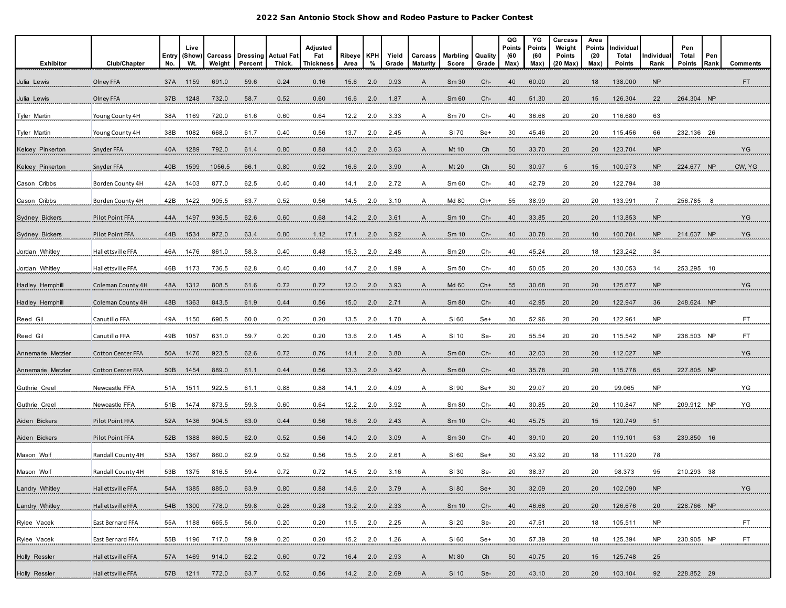| Exhibitor             | Club/Chapter             | Entry<br>No. | Live<br>(Show)<br>Wt. | Carcass<br>Weight | Dressing Actual Fat<br>Percent | Thick. | Adjusted<br>Fat<br><b>Thickness</b> | Ribeye KPH<br>Area | %   | Yield<br>Grade | Carcass<br>Maturity | Marbling<br>Score | Quality<br>Grade | QG<br>Points<br>(60<br>Max) | ΥG<br>Points<br>(60<br>Max) | Carcass<br>Weight<br>Points<br>$(20$ Max $)$ | Area<br>Points<br>(20<br>Max) | Individual<br>Total<br>Points | Individua<br>Rank | Pen<br>Total<br>Points | Pen<br>Rank | Comments |
|-----------------------|--------------------------|--------------|-----------------------|-------------------|--------------------------------|--------|-------------------------------------|--------------------|-----|----------------|---------------------|-------------------|------------------|-----------------------------|-----------------------------|----------------------------------------------|-------------------------------|-------------------------------|-------------------|------------------------|-------------|----------|
| Julia Lewis           | Olney FFA                | 37A          | 1159                  | 691.0             | 59.6                           | 0.24   | 0.16                                | 15.6               | 2.0 | 0.93           | $\mathsf{A}$        | Sm 30             | Ch-              | 40                          | 60.00                       | 20                                           | 18                            | 138.000                       | <b>NP</b>         |                        |             | FT.      |
| Julia Lewis           | Olney FFA                | 37B          | 1248                  | 732.0             | 58.7                           | 0.52   | 0.60                                | 16.6               | 2.0 | 1.87           | A                   | Sm 60             | Ch-              | 40                          | 51.30                       | 20                                           | 15                            | 126.304                       | 22                | 264.304 NP             |             |          |
| Tyler Martin          | Young County 4H          | 38A          | 1169                  | 720.0             | 61.6                           | 0.60   | 0.64                                | 12.2               | 2.0 | 3.33           | A                   | Sm 70             | Ch-              | 40                          | 36.68                       | 20                                           | 20                            | 116.680                       | 63                |                        |             |          |
| Tyler Martin          | Young County 4H          | 38B          | 1082                  | 668.0             | 61.7                           | 0.40   | 0.56                                | 13.7               | 2.0 | 2.45           | A                   | SI 70             | Se+              | 30                          | 45.46                       | 20                                           | 20                            | 115.456                       | 66                | 232.136 26             |             |          |
| Kelcey Pinkerton      | Snyder FFA               | 40A          | 1289                  | 792.0             | 61.4                           | 0.80   | 0.88                                | 14.0               | 2.0 | 3.63           | A                   | Mt 10             | Ch               | 50                          | 33.70                       | 20                                           | 20                            | 123.704                       | NP                |                        |             | YG       |
| Kelcey Pinkerton      | Snyder FFA               | 40B          | 1599                  | 1056.5            | 66.1                           | 0.80   | 0.92                                | 16.6               | 2.0 | 3.90           | $\mathsf{A}$        | Mt 20             | Ch               | 50                          | 30.97                       | $5\overline{)}$                              | 15                            | 100.973                       | <b>NP</b>         | 224.677 NP             |             | CW, YG   |
| Cason Cribbs          | Borden County 4H         | 42A          | 1403                  | 877.0             | 62.5                           | 0.40   | 0.40                                | 14.1               | 2.0 | 2.72           | A                   | Sm 60             | Ch-              | 40                          | 42.79                       | 20                                           | 20                            | 122.794                       | 38                |                        |             |          |
| Cason Cribbs          | Borden County 4H         | 42B          | 1422                  | 905.5             | 63.7                           | 0.52   | 0.56                                | 14.5               | 2.0 | 3.10           | Ą                   | Md 80             | $Ch+$            | 55                          | 38.99                       | $^{20}$                                      | $20 \overline{)}$             | 133.991                       |                   | 256.785                |             |          |
| <b>Sydney Bickers</b> | Pilot Point FFA          | 44A          | 1497                  | 936.5             | 62.6                           | 0.60   | 0.68                                | $14.2$ 2.0         |     | 3.61           | A                   | Sm <sub>10</sub>  | $Ch-$            | 40                          | 33.85                       | 20                                           | 20                            | 113.853                       | <b>NP</b>         |                        |             | YG.      |
| <b>Sydney Bickers</b> | Pilot Point FFA          | 44B          | 1534                  | 972.0             | 63.4                           | 0.80   | 1.12                                | 17.1               | 2.0 | 3.92           | . A                 | Sm 10             | Ch-              | 40                          | 30.78                       | $^{20}$                                      | $10^{-}$                      | 100.784                       | NP                | 214.637 NP             |             | YG       |
| Jordan Whitley        | Hallettsville FFA        | 46A          | 1476                  | 861.0             | 58.3                           | 0.40   | 0.48                                | 15.3               | 2.0 | 2.48           | A                   | Sm 20             | Ch-              | 40                          | 45.24                       | 20                                           | 18                            | 123.242                       | 34                |                        |             |          |
| Jordan Whitley        | Hallettsville FFA        | 46B          | 1173                  | 736.5             | 62.8                           | 0.40   | 0.40                                | 14.7               | 2.0 | 1.99           | A                   | Sm 50             | Ch-              | 40                          | 50.05                       | 20                                           | 20                            | 130.053                       | 14                | 253.295 10             |             |          |
| Hadley Hemphill       | Coleman County 4H        | 48A          | 1312                  | 808.5             | 61.6                           | 0.72   | 0.72                                | 12.0               | 2.0 | 3.93           | $\mathsf{A}$        | Md 60             | $Ch+$            | 55                          | 30.68                       | 20                                           | 20                            | 125.677                       | <b>NP</b>         |                        |             | YG       |
| Hadley Hemphill       | Coleman County 4H        | 48B          | 1363                  | 843.5             | 61.9                           | 0.44   | 0.56                                | 15.0               | 2.0 | 2.71           | $\mathsf{A}$        | Sm 80             | Ch-              | 40                          | 42.95                       | 20                                           | 20                            | 122.947                       | 36                | 248.624 NP             |             |          |
| Reed Gil              | Canutillo FFA            | 49A          | 1150                  | 690.5             | 60.0                           | 0.20   | 0.20                                | 13.5               | 2.0 | 1.70           | A                   | SI 60             | Se+              | 30                          | 52.96                       | 20                                           | 20                            | 122.961                       | <b>NP</b>         |                        |             | FT.      |
| Reed Gil              | Canutillo FFA            | 49B          | 1057                  | 631.0             | 59.7                           | 0.20   | 0.20                                | 13.6               | 2.0 | 1.45           | $\mathsf{A}$        | $SI$ 10           | Se-              | $^{20}$                     | 55.54                       | 20                                           | $^{20}$                       | 115.542                       | <b>NP</b>         | 238.503 NP             |             | FT       |
| Annemarie Metzler     | <b>Cotton Center FFA</b> | 50A          | 1476                  | 923.5             | 62.6                           | 0.72   | 0.76                                | 14.1               | 2.0 | 3.80           | A                   | Sm 60             | Ch-              | 40                          | 32.03                       | 20                                           | 20                            | 112.027                       | <b>NP</b>         |                        |             | YG       |
| Annemarie Metzler     | <b>Cotton Center FFA</b> | 50B          | 1454                  | 889.0             | 61.1                           | 0.44   | 0.56                                | 13.3               | 2.0 | 3.42           | A                   | Sm 60             | Ch-              | 40                          | 35.78                       | 20                                           | 20                            | 115.778                       | 65                | 227.805 NP             |             |          |
| Guthrie Creel         | Newcastle FFA            | 51A          | .1511                 | 922.5             | 61.1                           | 0.88   | 0.88                                | 14.1               |     | 4.09           | .A.                 | SI 90             | $Se+$            | 30                          | 29.07                       | 20                                           | 20                            | 99.065                        | NP.               |                        |             | YG .     |
| Guthrie Creel         | Newcastle FFA            | 51B          | 1474                  | 873.5             | 59.3                           | 0.60   | 0.64                                | 12.2               | 2.0 | 3.92           | A                   | Sm 80             | Ch-              | 40                          | 30.85                       | 20                                           | 20                            | 110.847                       | NP                | 209.912 NP             |             | YG       |
| Aiden Bickers         | Pilot Point FFA          | 52A          | 1436                  | 904.5             | 63.0                           | 0.44   | 0.56                                | 16.6               | 2.0 | 2.43           | $\mathsf{A}$        | Sm 10             | Ch-              | 40                          | 45.75                       | 20                                           | 15                            | 120.749                       | 51                |                        |             |          |
| Aiden Bickers         | Pilot Point FFA          | 52B          | 1388                  | 860.5             | 62.0                           | 0.52   | 0.56                                | 14.0               | 2.0 | 3.09           | $\mathsf{A}$        | Sm 30             | Ch-              | 40                          | 39.10                       | 20                                           | 20                            | 119.101                       | 53                | 239.850 16             |             |          |
| Mason Wolf            | Randall County 4H        | 53A          | 1367                  | 860.0             | 62.9                           | 0.52   | 0.56                                | 15.5               | 2.0 | 2.61           | A                   | SI 60             | Se+              | 30                          | 43.92                       | 20                                           | 18                            | 111.920                       | 78                |                        |             |          |
| Mason Wolf            | Randall County 4H        | 53B          | 1375                  | 816.5             | 59.4                           | 0.72   | 0.72                                | 14.5               | 2.0 | 3.16           | A                   | SI 30             | Se-              | 20                          | 38.37                       | 20                                           | 20                            | 98.373                        | 95                | 210.293                | - 38        |          |
| Landry Whitley        | Hallettsville FFA        | 54A          | 1385                  | 885.0             | 63.9                           | 0.80   | 0.88                                | 14.6 2.0           |     | 3.79           | A                   | SI 80             | Se+              | 30                          | 32.09                       | 20                                           | 20                            | 102.090                       | <b>NP</b>         |                        |             | YG       |
| Landry Whitley        | Hallettsville FFA        | 54B          | 1300                  | 778.0             | 59.8                           | 0.28   | 0.28                                | 13.2               | 2.0 | 2.33           | A                   | Sm 10             | Ch-              | 40                          | 46.68                       | 20                                           | 20                            | 126.676                       | 20                | 228.766 NP             |             |          |
| Rylee Vacek           | East Bernard FFA         | 55A          | 1188                  | 665.5             | 56.0                           | 0.20   | 0.20                                | 11.5               | 2.0 | 2.25           | A                   | SI 20             | Se-              | 20                          | 47.51                       | 20                                           | 18                            | 105.511                       | <b>NP</b>         |                        |             | FT.      |
| Rylee Vacek           | East Bernard FFA         | 55B          | 1196                  | 717.0             | 59.9                           | 0.20   | 0.20                                | 15.2               | 2.0 | 1.26           | $\mathsf{A}$        | SI 60             | Se+              | 30                          | 57.39                       | 20                                           | 18                            | 125.394                       | <b>NP</b>         | 230.905 NP             |             | FT.      |
| Holly Ressler         | Hallettsville FFA        | 57A          | 1469                  | 914.0             | 62.2                           | 0.60   | 0.72                                | 16.4               | 2.0 | 2.93           | A                   | Mt 80             | Ch               | 50                          | 40.75                       | 20                                           | 15                            | 125.748                       | 25                |                        |             |          |
| Holly Ressler         | Hallettsville FFA        |              | 57B 1211 772.0        |                   | .63.7                          | 0.52   | 0.56                                | 14.2 2.0 2.69      |     |                | $\mathsf{A}$        | SI 10             | $Se-$            | 20                          | 43.10                       | $20\,$                                       | 20                            | 103.104                       | 92                | 228.852 29             |             |          |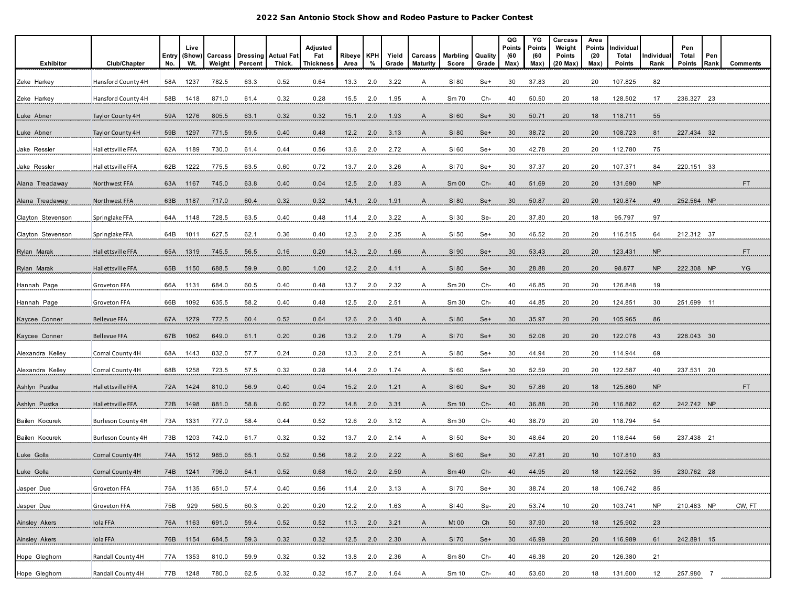| Exhibitor         | Club/Chapter        | Entry | Live<br>(Show) | Carcass | <b>Dressing</b> | <b>Actual Fat</b> | Adjusted<br>Fat<br><b>Thickness</b> | <b>Ribeye</b> | <b>KPH</b> | Yield            | Carcass         | Marbling     | Quality | QG<br>Points<br>(60 | YG<br>Points<br>(60 | Carcass<br>Weight<br><b>Points</b> | Area<br>Points<br>(20) | Individual<br>Total | ndividual      | Pen<br>Total  | Pen  |                 |
|-------------------|---------------------|-------|----------------|---------|-----------------|-------------------|-------------------------------------|---------------|------------|------------------|-----------------|--------------|---------|---------------------|---------------------|------------------------------------|------------------------|---------------------|----------------|---------------|------|-----------------|
|                   |                     | No.   | Wt.            | Weight  | Percent         | Thick.            |                                     | Area          | %          | Grade            | <b>Maturity</b> | Score        | Grade   | Max)                | Max)                | $(20$ Max $)$                      | Max)                   | Points              | Rank           | <b>Points</b> | Rank | <b>Comments</b> |
| Zeke Harkey       | Hansford County 4H  | 58A   | 1237           | 782.5   | 63.3            | 0.52              | 0.64                                | 13.3          | 2.0        | 3.22             | A               | SI 80        | Se+     | 30                  | 37.83               | 20                                 | 20                     | 107.825             | 82             |               |      |                 |
| Zeke Harkey       | Hansford County 4H  | 58B   | 1418           | 871.0   | 61.4            | 0.32              | 0.28                                | 15.5          | 2.0        | 1.95             | A               | Sm 70        | Ch-     | 40                  | 50.50               | 20                                 | 18                     | 128.502             | 17             | 236.327 23    |      |                 |
| Luke Abner        | Taylor County 4H    | 59A   | 1276           | 805.5   | 63.1            | 0.32              | 0.32                                | 15.1          | 2.0        | 1.93             | A               | SI 60        | Se+     | 30                  | 50.71               | 20                                 | 18                     | 118.711             | 55             |               |      |                 |
| Luke Abner        | Taylor County 4H    | 59B   | 1297           | 771.5   | 59.5            | 0.40              | 0.48                                | 12.2          | 2.0        | 3.13             | A               | SI 80        | Se+     | 30                  | 38.72               | 20                                 | 20                     | 108.723             | 81             | 227.434 32    |      |                 |
| Jake Ressler      | Hallettsville FFA   | 62A   | 1189           | 730.0   | 61.4            | 0.44              | 0.56                                | 13.6          | 2.0        | 2.72             | $\overline{A}$  | SI 60        | Se+     | 30 <sub>2</sub>     | 42.78               | $^{20}$                            | 20                     | 112.780             | 75             |               |      |                 |
| Jake Ressler      | Hallettsville FFA   | 62B   | 1222           | 775.5   | 63.5            | 0.60              | 0.72                                | 13.7          | 2.0        | 3.26             | A               | SI 70        | Se+     | 30                  | 37.37               | 20                                 | 20                     | 107.371             | 84             | 220.151 33    |      |                 |
| Alana Treadaway   | Northwest FFA       |       | 63A 1167       | 745.0   | 63.8            | 0.40              | 0.04                                | 12.5          | 2.0        | 1.83             | A               | Sm 00        | Ch-     | 40                  | 51.69               | 20                                 | 20                     | 131.690             | <b>NP</b>      |               |      | FT.             |
| Alana Treadaway   | Northwest FFA       | 63B   | 1187           | 717.0   | 60.4            | 0.32              | 0.32                                | 14.1          | 2.0        | 1.91             | A               | SI 80        | $Se+$   | 30                  | 50.87               | 20                                 | 20                     | 120.874             | 49             | 252.564 NP    |      |                 |
| Clayton Stevenson | Springlake FFA      |       | 64A 1148       | 728.5   | 63.5            | 0.40              | 0.48                                | 11.4          |            | 2.0 3.22         | A.              | $SI$ 30      | Se-     | $^{20}$             | 37.80               | $^{20}$                            | $\frac{18}{1}$         | 95.797              | 97             |               |      |                 |
| Clayton Stevenson | Springlake FFA      | 64B   | 1011           | 627.5   | 62.1            | 0.36              | 0.40                                | 12.3          | 2.0        | 2.35             |                 | $SI$ 50      | $Se+$   | 30                  | 46.52               | $^{20}$                            | $^{20}$                | 116.515             | 64             | 212.312 37    |      |                 |
| Rylan Marak       | Hallettsville FFA   | 65A   | 1319           | 745.5   | 56.5            | 0.16              | 0.20                                | 14.3          | 2.0        | 1.66             | A               | SI 90        | Se+     | 30                  | 53.43               | 20                                 | 20                     | 123.431             | <b>NP</b>      |               |      | FT.             |
| Rylan Marak       | Hallettsville FFA   | 65B   | 1150           | 688.5   | 59.9            | 0.80              | 1.00                                | 12.2          | 2.0        | 4.11             | A               | SI 80        | Se+     | 30                  | 28.88               | 20                                 | 20                     | 98.877              | <b>NP</b>      | 222.308 NP    |      | YG              |
| Hannah Page       | Groveton FFA        | 66A   | 1131           | 684.0   | 60.5            | 0.40              | 0.48                                | 13.7          | 2.0        | 2.32             | A               | Sm 20        | Ch-     | 40                  | 46.85               | 20                                 | 20                     | 126.848             | 19             |               |      |                 |
| Hannah Page       | Groveton FFA        | 66B   | 1092           | 635.5   | 58.2            | 0.40              | 0.48                                | 12.5          | 2.0        | 2.51             | A               | Sm 30        | Ch-     | 40                  | 44.85               | 20                                 | 20                     | 124.851             | 30             | 251.699 11    |      |                 |
| Kaycee Conner     | <b>Bellevue FFA</b> | 67A   | 1279           | 772.5   | 60.4            | 0.52              | 0.64                                | 12.6          | 2.0        | 3.40             | $\mathsf{A}$    | SI 80        | Se+     | 30                  | 35.97               | 20                                 | 20                     | 105.965             | 86             |               |      |                 |
| Kaycee Conner     | <b>Bellevue FFA</b> | 67B   | 1062           | 649.0   | 61.1            | 0.20              | 0.26                                | 13.2          | 2.0        | 1.79             | A               | <b>SI 70</b> | $Se+$   | 30                  | 52.08               |                                    |                        | 122.078             | 43             | 228.043 30    |      |                 |
| Alexandra Kelley  | Comal County 4H     | 68A   | 1443           | 832.0   | 57.7            | 0.24              | 0.28                                | 13.3          | 2.0        | 2.51             | A               | SI 80        | Se+     | 30                  | 44.94               | 20<br>20                           | $^{20}$<br>20          | 114.944             | 69             |               |      |                 |
| Alexandra Kelley  | Comal County 4H     | 68B   | 1258           | 723.5   | 57.5            | 0.32              | 0.28                                | 14.4          | 2.0        | 1.74             | A               | SI 60        | Se+     | 30                  | 52.59               | 20                                 | 20                     | 122.587             | 40             | 237.531 20    |      |                 |
|                   |                     |       | 1424           |         |                 |                   |                                     |               |            |                  |                 |              |         |                     |                     |                                    |                        |                     |                |               |      | FT.             |
| Ashlyn Pustka     | Hallettsville FFA   | 72A   |                | 810.0   | 56.9            | 0.40              | 0.04                                | 15.2          | 2.0        | 1.21             | $\overline{A}$  | SI 60        | $Se+$   | 30 <sub>o</sub>     | 57.86               | 20                                 | 18                     | 125.860             | N <sub>P</sub> |               |      |                 |
| Ashlyn Pustka     | Hallettsville FFA   | 72B   | 1498           | 881.0   | 58.8            | 0.60              | 0.72                                | 14.8          | 2.0        | 3.31             | A               | Sm 10        | Ch-     | 40                  | 36.88               | 20                                 | 20                     | 116.882             | 62             | 242.742 NP    |      |                 |
| Bailen Kocurek    | Burleson County 4H  | 73A   | 1331           | 777.0   | 58.4            | 0.44              | 0.52                                | 12.6          | 2.0        | 3.12             | A               | Sm 30        | Ch-     | 40                  | 38.79               | 20                                 | 20                     | 118.794             | 54             |               |      |                 |
| Bailen Kocurek    | Burleson County 4H  | 73B   | 1203           | 742.0   | 61.7            | 0.32              | 0.32                                | 13.7          | 2.0        | 2.14             | A               | SI 50        | Se+     | 30                  | 48.64               | 20                                 | 20                     | 118.644             | 56             | 237.438 21    |      |                 |
| Luke Golla        | Comal County 4H     | 74A   | 1512           | 985.0   | 65.1            | 0.52              | 0.56                                | 18.2          | 2.0        | 2.22             | A               | SI 60        | Se+     | 30                  | 47.81               | 20                                 | 10                     | 107.810             | 83             |               |      |                 |
| Luke Golla        | Comal County 4H     | 74B   | 1241           | 796.0   | 64.1            | 0.52              | 0.68                                | 16.0          | 2.0        | 2.50             | A               | Sm 40        | Ch-     | 40                  | 44.95               | 20                                 | 18                     | 122.952             | 35             | 230.762 28    |      |                 |
| Jasper Due        | Groveton FFA        |       | 75A 1135       | 651.0   | 57.4            | 0.40              | 0.56                                | 11.4          | 2.0        | 3.13             | A               | SI 70        | Se+     | 30                  | 38.74               | 20                                 | 18                     | 106.742             | 85             |               |      |                 |
| Jasper Due        | Groveton FFA        | 75B   | 929            | 560.5   | 60.3            | 0.20              | 0.20                                | 12.2 2.0      |            | 1.63             | A               | $SI$ 40      | $Se-$   | 20                  | 53.74               | 10                                 | 20                     | 103.741             | <b>NP</b>      | 210.483 NP    |      | CW, FT          |
| Ainsley Akers     | Iola FFA            | 76A   | 1163           | 691.0   | 59.4            | 0.52              | 0.52                                | 11.3          |            | $2.0\qquad 3.21$ | $\mathsf{A}$    | Mt 00        | Ch      | 50                  | 37.90               | 20                                 | 18                     | 125.902             | 23             |               |      |                 |
| Ainsley Akers     | Iola FFA            |       | 76B 1154       | 684.5   | 59.3            | 0.32              | 0.32                                |               |            | 12.5 2.0 2.30    | $\mathsf{A}$    | SI 70        | Se+     | 30 <sup>°</sup>     | 46.99               | 20                                 | 20                     | 116.989             | 61             | 242.891 15    |      |                 |
| Hope Gleghorn     | Randall County 4H   |       | 77A 1353       | 810.0   | 59.9            | 0.32              | 0.32                                | 13.8          |            | 2.0 2.36         | A               | Sm 80        | Ch-     | 40                  | 46.38               | 20                                 | 20                     | 126.380             | 21             |               |      |                 |
| Hope Gleghom      | Randall County 4H   |       | 77B 1248       | 780.0   | 62.5            | 0.32              | 0.32                                |               |            | 15.7 2.0 1.64    | $\mathsf{A}$    | Sm 10        | $Ch-$   | 40                  | 53.60               | 20                                 | 18                     | 131.600             | 12             | 257.980 7     |      |                 |